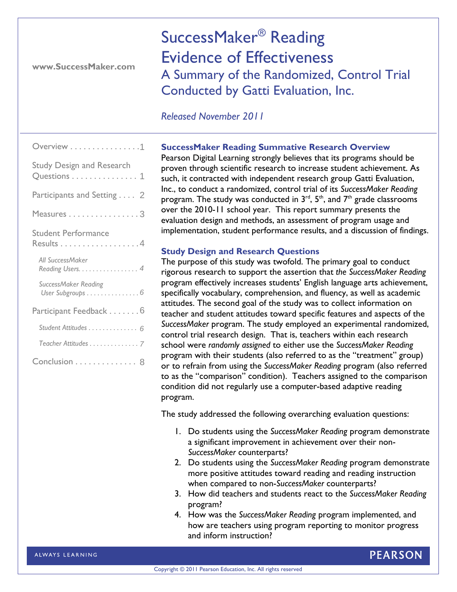**www.SuccessMaker.com** 

SuccessMaker® Reading Evidence of Effectiveness A Summary of the Randomized, Control Trial Conducted by Gatti Evaluation, Inc.

# *Released November 2011*

| Overview 1                                                                  |  |  |  |  |  |  |  |
|-----------------------------------------------------------------------------|--|--|--|--|--|--|--|
| <b>Study Design and Research</b><br>Questions $\dots\dots\dots\dots\dots$ 1 |  |  |  |  |  |  |  |
| Participants and Setting 2                                                  |  |  |  |  |  |  |  |
| Measures 3                                                                  |  |  |  |  |  |  |  |
| <b>Student Performance</b><br>Results 4                                     |  |  |  |  |  |  |  |
| All SuccessMaker<br>Reading Users. 4                                        |  |  |  |  |  |  |  |
| SuccessMaker Reading<br>User Subgroups 6                                    |  |  |  |  |  |  |  |
| Participant Feedback 6                                                      |  |  |  |  |  |  |  |
| Student Attitudes 6                                                         |  |  |  |  |  |  |  |
| Teacher Attitudes 7                                                         |  |  |  |  |  |  |  |
| Conclusion 8                                                                |  |  |  |  |  |  |  |

# **SuccessMaker Reading Summative Research Overview**

Pearson Digital Learning strongly believes that its programs should be proven through scientific research to increase student achievement. As such, it contracted with independent research group Gatti Evaluation, Inc., to conduct a randomized, control trial of its *SuccessMaker Reading* program. The study was conducted in  $3<sup>rd</sup>$ ,  $5<sup>th</sup>$ , and  $7<sup>th</sup>$  grade classrooms over the 2010-11 school year. This report summary presents the evaluation design and methods, an assessment of program usage and implementation, student performance results, and a discussion of findings.

# **Study Design and Research Questions**

The purpose of this study was twofold. The primary goal to conduct rigorous research to support the assertion that *the SuccessMaker Reading* program effectively increases students' English language arts achievement, specifically vocabulary, comprehension, and fluency, as well as academic attitudes. The second goal of the study was to collect information on teacher and student attitudes toward specific features and aspects of the *SuccessMaker* program. The study employed an experimental randomized, control trial research design. That is, teachers within each research school were *randomly assigned* to either use the *SuccessMaker Reading*  program with their students (also referred to as the "treatment" group) or to refrain from using the *SuccessMaker Reading* program (also referred to as the "comparison" condition). Teachers assigned to the comparison condition did not regularly use a computer-based adaptive reading program.

The study addressed the following overarching evaluation questions:

- 1. Do students using the *SuccessMaker Reading* program demonstrate a significant improvement in achievement over their non-*SuccessMaker* counterparts?
- 2. Do students using the *SuccessMaker Reading* program demonstrate more positive attitudes toward reading and reading instruction when compared to non-*SuccessMaker* counterparts?
- 3. How did teachers and students react to the *SuccessMaker Reading* program?
- 4. How was the *SuccessMaker Reading* program implemented, and how are teachers using program reporting to monitor progress and inform instruction?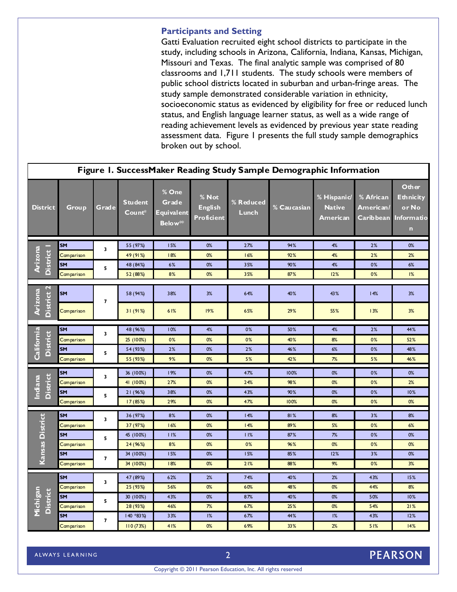# **Participants and Setting**

Gatti Evaluation recruited eight school districts to participate in the study, including schools in Arizona, California, Indiana, Kansas, Michigan, **1**  Missouri and Texas. The final analytic sample was comprised of 80 classrooms and 1,711 students. The study schools were members of public school districts located in suburban and urban-fringe areas. The study sample demonstrated considerable variation in ethnicity, socioeconomic status as evidenced by eligibility for free or reduced lunch status, and English language learner status, as well as a wide range of reading achievement levels as evidenced by previous year state reading assessment data. Figure 1 presents the full study sample demographics broken out by school.

| Figure I. SuccessMaker Reading Study Sample Demographic Information |                         |                         |                       |                                                |                                       |                    |             |                                            |                                      |                                                                 |  |
|---------------------------------------------------------------------|-------------------------|-------------------------|-----------------------|------------------------------------------------|---------------------------------------|--------------------|-------------|--------------------------------------------|--------------------------------------|-----------------------------------------------------------------|--|
| <b>District</b>                                                     | <b>Group</b>            | Grade                   | Student<br>$Count^*$  | % One<br>Grade<br>Equivalent<br><b>Below**</b> | % Not<br><b>English</b><br>Proficient | % Reduced<br>Lunch | % Caucasian | $%$ Hispanic/<br><b>Native</b><br>American | % African<br>American/<br>Carib bean | Other<br><b>Ethnicity</b><br>or No<br>Informatio<br>$\mathbf n$ |  |
| District I<br>Arizona                                               | <b>SM</b>               | 3                       | 55 (97%)              | 15%                                            | 0%                                    | 27%                | 94%         | 4%                                         | 2%                                   | 0%                                                              |  |
|                                                                     | Comparison              |                         | 49 (91%)              | 18%                                            | 0%                                    | 16%                | 92%         | 4%                                         | 2%                                   | 2%                                                              |  |
|                                                                     | <b>SM</b>               | 5                       | 48 (84%)              | 6%                                             | 0%                                    | 35%                | 90%         | 4%                                         | 0%                                   | 6%                                                              |  |
|                                                                     | Comparison              |                         | 52 (88%)              | 8%                                             | 0%                                    | 35%                | 87%         | 12%                                        | 0%                                   | 1%                                                              |  |
| $\mathbf{r}$<br>Arizona<br><b>District</b>                          | <b>SM</b><br>Comparison | 7                       | 58 (94%)<br>31(91%)   | 38%<br>61%                                     | 3%<br>19%                             | 64%<br>65%         | 40%<br>29%  | 43%<br>55%                                 | 14%<br>13%                           | 3%<br>3%                                                        |  |
|                                                                     | <b>SM</b>               |                         | 48 (96%)              | 10%                                            | 4%                                    | 0%                 | 50%         | 4%                                         | 2%                                   | 44%                                                             |  |
|                                                                     | Comparison              | 3                       | 25 (100%)             | 0%                                             | 0%                                    | 0%                 | 40%         | 8%                                         | 0%                                   | 52%                                                             |  |
| Califomia<br><b>District</b>                                        | <b>SM</b>               |                         | 54 (93%)              | 2%                                             | 0%                                    | 2%                 | 46%         | 6%                                         | 0%                                   | 48%                                                             |  |
|                                                                     | Comparison              | 5                       | 55 (93%)              | 9%                                             | 0%                                    | 5%                 | 42%         | 7%                                         | 5%                                   | 46%                                                             |  |
|                                                                     |                         |                         |                       |                                                |                                       |                    |             |                                            |                                      |                                                                 |  |
|                                                                     | <b>SM</b>               | 3                       | 36 (100%)             | 19%                                            | 0%                                    | 47%                | 100%        | 0%                                         | 0%                                   | 0%                                                              |  |
| <b>District</b><br>Indiana                                          | Comparison<br><b>SM</b> | 5                       | 41 (100%)<br>21 (96%) | 27%<br>38%                                     | 0%<br>0%                              | 24%<br>43%         | 98%<br>90%  | 0%<br>0%                                   | 0%<br>0%                             | 2%<br>10%                                                       |  |
|                                                                     | Comparison              |                         | 17(85%)               | 29%                                            | 0%                                    | 47%                | 100%        | 0%                                         | 0%                                   | 0%                                                              |  |
|                                                                     |                         |                         |                       |                                                |                                       |                    |             |                                            |                                      |                                                                 |  |
|                                                                     | <b>SM</b>               | 3<br>5                  | 36 (97%)              | 8%                                             | 0%                                    | 14%                | 81%         | 8%                                         | 3%                                   | 8%                                                              |  |
| Kansas District                                                     | Comparison              |                         | 37 (97%)              | 16%                                            | 0%                                    | 14%                | 89%         | 5%                                         | 0%                                   | 6%                                                              |  |
|                                                                     | <b>SM</b>               |                         | 45 (100%)             | 11%                                            | 0%                                    | 11%                | 87%         | 7%                                         | 0%                                   | 0%                                                              |  |
|                                                                     | Comparison              |                         | 24 (96%)              | 8%                                             | 0%                                    | 0%                 | 96%         | 0%                                         | 0%                                   | 0%                                                              |  |
|                                                                     | <b>SM</b>               | 7                       | 34 (100%)             | 15%                                            | 0%                                    | 15%                | 85%         | 12%                                        | 3%                                   | 0%                                                              |  |
|                                                                     | Comparison              |                         | 34 (100%)             | 18%                                            | 0%                                    | 21%                | 88%         | 9%                                         | 0%                                   | 3%                                                              |  |
| Michigan<br><b>District</b>                                         | <b>SM</b>               | 3                       | 47 (89%)              | 62%                                            | 2%                                    | 74%                | 40%         | 2%                                         | 43%                                  | 15%                                                             |  |
|                                                                     | Comparison              |                         | 25 (93%)              | 56%                                            | 0%                                    | 60%                | 48%         | 0%                                         | 44%                                  | 8%                                                              |  |
|                                                                     | <b>SM</b>               | 5                       | 30 (100%)             | 43%                                            | 0%                                    | 87%                | 40%         | 0%                                         | 50%                                  | 10%                                                             |  |
|                                                                     | Comparison              |                         | 28 (93%)              | 46%                                            | 7%                                    | 67%                | 25%         | 0%                                         | 54%                                  | 21%                                                             |  |
|                                                                     | <b>SM</b>               | $\overline{\mathbf{z}}$ | 140 *83%)             | 33%                                            | 1%                                    | 67%                | 44%         | 1%                                         | 43%                                  | 12%                                                             |  |
|                                                                     | Comparison              |                         | 110(73%)              | 41%                                            | 0%                                    | 69%                | 33%         | 2%                                         | 51%                                  | 14%                                                             |  |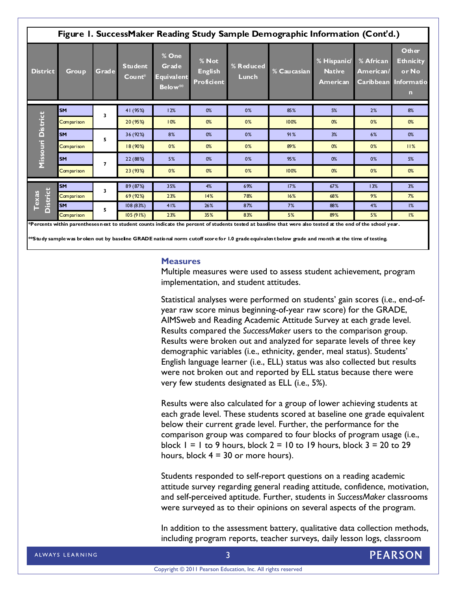| Figure I. SuccessMaker Reading Study Sample Demographic Information (Cont'd.) |              |                         |                          |                                                |                                              |                    |             |                                                |                                            |                                                                 |
|-------------------------------------------------------------------------------|--------------|-------------------------|--------------------------|------------------------------------------------|----------------------------------------------|--------------------|-------------|------------------------------------------------|--------------------------------------------|-----------------------------------------------------------------|
| <b>District</b>                                                               | <b>Group</b> | Grade                   | <b>Student</b><br>Count* | % One<br>Grade<br>Equivalent<br><b>Below**</b> | % Not<br><b>English</b><br><b>Proficient</b> | % Reduced<br>Lunch | % Caucasian | % Hispanid<br><b>Native</b><br><b>American</b> | % African<br>American/<br><b>Caribbean</b> | Other<br><b>Ethnicity</b><br>or No<br>Informatio<br>$\mathbf n$ |
| <b>District</b><br>Missouri                                                   | <b>SM</b>    | $\overline{\mathbf{3}}$ | 41 (95%)                 | 12%                                            | 0%                                           | 0%                 | 85%         | 5%                                             | 2%                                         | 8%                                                              |
|                                                                               | Comparison   |                         | 20 (95%)                 | 10%                                            | 0%                                           | 0%                 | 100%        | 0%                                             | 0%                                         | 0%                                                              |
|                                                                               | <b>SM</b>    | 5                       | 36 (92%)                 | 8%                                             | 0%                                           | 0%                 | 91%         | 3%                                             | 6%                                         | 0%                                                              |
|                                                                               | Comparison   |                         | 18 (90%)                 | 0%                                             | 0%                                           | 0%                 | 89%         | 0%                                             | 0%                                         | 11%                                                             |
|                                                                               | <b>SM</b>    | $\overline{7}$          | 22 (88%)                 | 5%                                             | 0%                                           | 0%                 | 95%         | 0%                                             | 0%                                         | 5%                                                              |
|                                                                               | Comparison   |                         | 23 (93%)                 | 0%                                             | 0%                                           | 0%                 | 100%        | 0%                                             | 0%                                         | 0%                                                              |
| <b>District</b><br>Texas                                                      | <b>SM</b>    | $\overline{\mathbf{3}}$ | 89 (87%)                 | 35%                                            | 4%                                           | 69%                | 17%         | 67%                                            | 13%                                        | 3%                                                              |
|                                                                               | Comparison   |                         | 69(92%)                  | 23%                                            | 14%                                          | 78%                | 16%         | 68%                                            | 9%                                         | 7%                                                              |
|                                                                               | <b>SM</b>    | 5                       | 108(83%)                 | 41%                                            | 26%                                          | 87%                | 7%          | 88%                                            | 4%                                         | 1%                                                              |
|                                                                               | Comparison   |                         | 105(91%)                 | 23%                                            | 35%                                          | 83%                | 5%          | 89%                                            | 5%                                         | 1%                                                              |

**\*\*Study sample was broken out by baseline GRADE national norm cutoff score for 1.0 grade equivalent below grade and month at the time of testing.** 

#### **Measures**

Multiple measures were used to assess student achievement, program implementation, and student attitudes.

Statistical analyses were performed on students' gain scores (i.e., end-ofyear raw score minus beginning-of-year raw score) for the GRADE, AIMSweb and Reading Academic Attitude Survey at each grade level. Results compared the *SuccessMaker* users to the comparison group. Results were broken out and analyzed for separate levels of three key demographic variables (i.e., ethnicity, gender, meal status). Students' English language learner (i.e., ELL) status was also collected but results were not broken out and reported by ELL status because there were very few students designated as ELL (i.e., 5%).

Results were also calculated for a group of lower achieving students at each grade level. These students scored at baseline one grade equivalent below their current grade level. Further, the performance for the comparison group was compared to four blocks of program usage (i.e., block  $1 = 1$  to 9 hours, block  $2 = 10$  to 19 hours, block  $3 = 20$  to 29 hours, block  $4 = 30$  or more hours).

Students responded to self-report questions on a reading academic attitude survey regarding general reading attitude, confidence, motivation, and self-perceived aptitude. Further, students in *SuccessMaker* classrooms were surveyed as to their opinions on several aspects of the program.

In addition to the assessment battery, qualitative data collection methods, including program reports, teacher surveys, daily lesson logs, classroom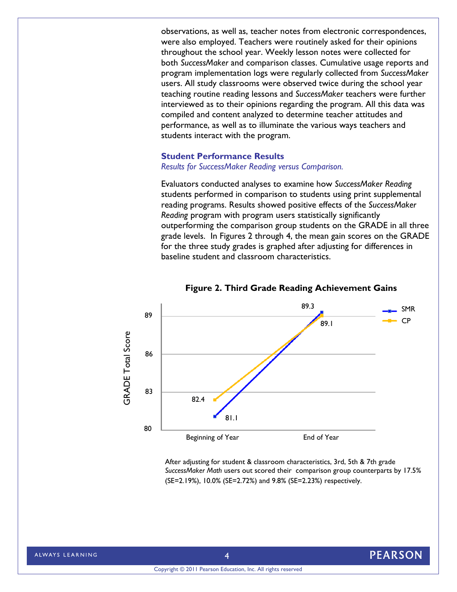observations, as well as, teacher notes from electronic correspondences, were also employed. Teachers were routinely asked for their opinions throughout the school year. Weekly lesson notes were collected for both *SuccessMaker* and comparison classes. Cumulative usage reports and program implementation logs were regularly collected from *SuccessMaker* users. All study classrooms were observed twice during the school year teaching routine reading lessons and *SuccessMaker* teachers were further interviewed as to their opinions regarding the program. All this data was compiled and content analyzed to determine teacher attitudes and performance, as well as to illuminate the various ways teachers and students interact with the program.

### **Student Performance Results**

*Results for SuccessMaker Reading versus Comparison.* 

Evaluators conducted analyses to examine how *SuccessMaker Reading* students performed in comparison to students using print supplemental reading programs. Results showed positive effects of the *SuccessMaker Reading* program with program users statistically significantly outperforming the comparison group students on the GRADE in all three grade levels. In Figures 2 through 4, the mean gain scores on the GRADE for the three study grades is graphed after adjusting for differences in baseline student and classroom characteristics.





After adjusting for student & classroom characteristics, 3rd, 5th & 7th grade *SuccessMaker Math* users out scored their comparison group counterparts by 17.5% (SE=2.19%), 10.0% (SE=2.72%) and 9.8% (SE=2.23%) respectively.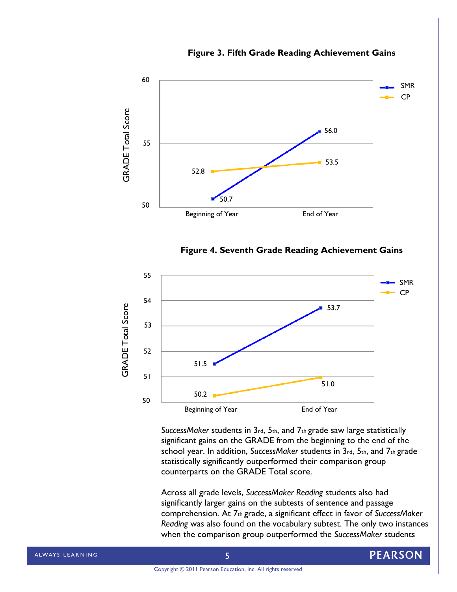







*SuccessMaker* students in 3rd, 5th, and 7th grade saw large statistically significant gains on the GRADE from the beginning to the end of the school year. In addition, *SuccessMaker* students in 3rd, 5th, and 7th grade statistically significantly outperformed their comparison group counterparts on the GRADE Total score.

Across all grade levels, *SuccessMaker Reading* students also had significantly larger gains on the subtests of sentence and passage comprehension. At 7th grade, a significant effect in favor of *SuccessMaker Reading* was also found on the vocabulary subtest. The only two instances when the comparison group outperformed the *SuccessMaker* students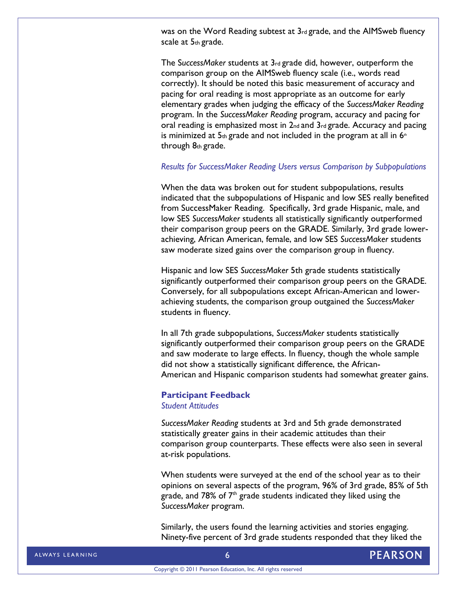was on the Word Reading subtest at 3rd grade, and the AIMSweb fluency scale at 5th grade.

The S*uccessMaker* students at 3rd grade did, however, outperform the comparison group on the AIMSweb fluency scale (i.e., words read correctly). It should be noted this basic measurement of accuracy and pacing for oral reading is most appropriate as an outcome for early elementary grades when judging the efficacy of the *SuccessMaker Reading*  program. In the *SuccessMaker Reading* program, accuracy and pacing for oral reading is emphasized most in 2nd and 3rd grade. Accuracy and pacing is minimized at  $5<sub>th</sub>$  grade and not included in the program at all in  $6<sub>th</sub>$ through 8th grade.

### *Results for SuccessMaker Reading Users versus Comparison by Subpopulations*

When the data was broken out for student subpopulations, results indicated that the subpopulations of Hispanic and low SES really benefited from SuccessMaker Reading. Specifically, 3rd grade Hispanic, male, and low SES *SuccessMaker* students all statistically significantly outperformed their comparison group peers on the GRADE. Similarly, 3rd grade lowerachieving, African American, female, and low SES *SuccessMaker* students saw moderate sized gains over the comparison group in fluency.

Hispanic and low SES *SuccessMaker* 5th grade students statistically significantly outperformed their comparison group peers on the GRADE. Conversely, for all subpopulations except African-American and lowerachieving students, the comparison group outgained the *SuccessMaker*  students in fluency.

In all 7th grade subpopulations, *SuccessMaker* students statistically significantly outperformed their comparison group peers on the GRADE and saw moderate to large effects. In fluency, though the whole sample did not show a statistically significant difference, the African-American and Hispanic comparison students had somewhat greater gains.

# **Participant Feedback**

*Student Attitudes* 

*SuccessMaker Reading* students at 3rd and 5th grade demonstrated statistically greater gains in their academic attitudes than their comparison group counterparts. These effects were also seen in several at-risk populations.

When students were surveyed at the end of the school year as to their opinions on several aspects of the program, 96% of 3rd grade, 85% of 5th grade, and 78% of  $7<sup>th</sup>$  grade students indicated they liked using the *SuccessMaker* program.

Similarly, the users found the learning activities and stories engaging. Ninety-five percent of 3rd grade students responded that they liked the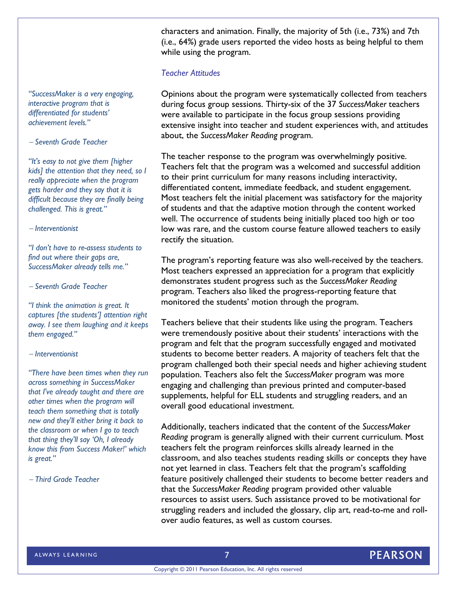characters and animation. Finally, the majority of 5th (i.e., 73%) and 7th (i.e., 64%) grade users reported the video hosts as being helpful to them while using the program.

# *Teacher Attitudes*

Opinions about the program were systematically collected from teachers during focus group sessions. Thirty-six of the 37 *SuccessMaker* teachers were available to participate in the focus group sessions providing extensive insight into teacher and student experiences with, and attitudes about, the *SuccessMaker Reading* program.

The teacher response to the program was overwhelmingly positive. Teachers felt that the program was a welcomed and successful addition to their print curriculum for many reasons including interactivity, differentiated content, immediate feedback, and student engagement. Most teachers felt the initial placement was satisfactory for the majority of students and that the adaptive motion through the content worked well. The occurrence of students being initially placed too high or too low was rare, and the custom course feature allowed teachers to easily rectify the situation.

The program's reporting feature was also well-received by the teachers. Most teachers expressed an appreciation for a program that explicitly demonstrates student progress such as the *SuccessMaker Reading* program. Teachers also liked the progress-reporting feature that monitored the students' motion through the program.

Teachers believe that their students like using the program. Teachers were tremendously positive about their students' interactions with the program and felt that the program successfully engaged and motivated students to become better readers. A majority of teachers felt that the program challenged both their special needs and higher achieving student population. Teachers also felt the *SuccessMaker* program was more engaging and challenging than previous printed and computer-based supplements, helpful for ELL students and struggling readers, and an overall good educational investment.

Additionally, teachers indicated that the content of the *SuccessMaker Reading* program is generally aligned with their current curriculum. Most teachers felt the program reinforces skills already learned in the classroom, and also teaches students reading skills or concepts they have not yet learned in class. Teachers felt that the program's scaffolding feature positively challenged their students to become better readers and that the *SuccessMaker Reading* program provided other valuable resources to assist users. Such assistance proved to be motivational for struggling readers and included the glossary, clip art, read-to-me and rollover audio features, as well as custom courses.

*"SuccessMaker is a very engaging, interactive program that is differentiated for students' achievement levels."* 

# *Seventh Grade Teacher*

**7**  *kids] the attention that they need, so I "It's easy to not give them [higher really appreciate when the program gets harder and they say that it is difficult because they are finally being challenged. This is great."* 

### *Interventionist*

*"I don't have to re-assess students to find out where their gaps are, SuccessMaker already tells me."* 

 *Seventh Grade Teacher* 

*"I think the animation is great. It captures [the students'] attention right away. I see them laughing and it keeps them engaged."* 

# *Interventionist*

*"There have been times when they run across something in SuccessMaker that I've already taught and there are other times when the program will teach them something that is totally new and they'll either bring it back to the classroom or when I go to teach that thing they'll say 'Oh, I already know this from Success Maker!' which is great."* 

 *Third Grade Teacher*